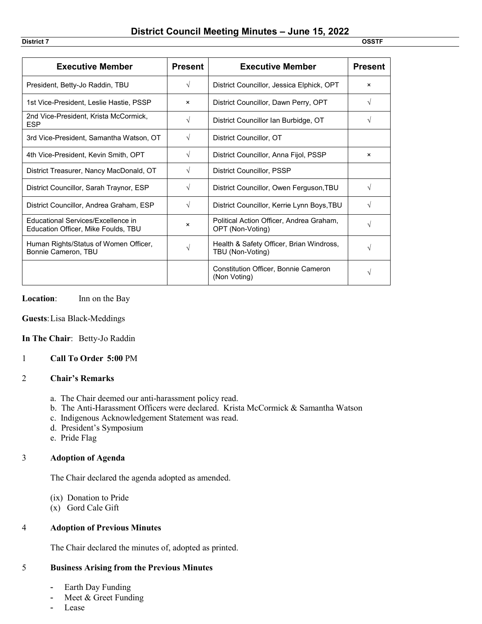| <b>Executive Member</b>                                                   | <b>Present</b> | <b>Executive Member</b>                                      | <b>Present</b> |
|---------------------------------------------------------------------------|----------------|--------------------------------------------------------------|----------------|
| President, Betty-Jo Raddin, TBU                                           | $\sqrt{ }$     | District Councillor, Jessica Elphick, OPT                    | $\times$       |
| 1st Vice-President, Leslie Hastie, PSSP                                   | $\times$       | District Councillor, Dawn Perry, OPT                         | V              |
| 2nd Vice-President, Krista McCormick,<br><b>ESP</b>                       | $\sqrt{ }$     | District Councillor Ian Burbidge, OT                         | V              |
| 3rd Vice-President, Samantha Watson, OT                                   | V              | District Councillor, OT                                      |                |
| 4th Vice-President, Kevin Smith, OPT                                      | $\sqrt{ }$     | District Councillor, Anna Fijol, PSSP                        | ×              |
| District Treasurer, Nancy MacDonald, OT                                   | $\sqrt{ }$     | District Councillor, PSSP                                    |                |
| District Councillor, Sarah Traynor, ESP                                   | $\sqrt{ }$     | District Councillor, Owen Ferguson, TBU                      | V              |
| District Councillor, Andrea Graham, ESP                                   | $\sqrt{ }$     | District Councillor, Kerrie Lynn Boys, TBU                   | V              |
| Educational Services/Excellence in<br>Education Officer, Mike Foulds, TBU | $\times$       | Political Action Officer, Andrea Graham,<br>OPT (Non-Voting) | V              |
| Human Rights/Status of Women Officer,<br>Bonnie Cameron, TBU              | $\sqrt{}$      | Health & Safety Officer, Brian Windross,<br>TBU (Non-Voting) | V              |
|                                                                           |                | Constitution Officer, Bonnie Cameron<br>(Non Voting)         | V              |

**Location**: Inn on the Bay

**Guests**:Lisa Black-Meddings

**In The Chair**: Betty-Jo Raddin

#### 1 **Call To Order 5:00** PM

#### 2 **Chair's Remarks**

- a. The Chair deemed our anti-harassment policy read.
- b. The Anti-Harassment Officers were declared. Krista McCormick & Samantha Watson
- c. Indigenous Acknowledgement Statement was read.
- d. President's Symposium
- e. Pride Flag

#### 3 **Adoption of Agenda**

The Chair declared the agenda adopted as amended.

(ix) Donation to Pride

(x) Gord Cale Gift

#### 4 **Adoption of Previous Minutes**

The Chair declared the minutes of, adopted as printed.

#### 5 **Business Arising from the Previous Minutes**

- Earth Day Funding
- Meet & Greet Funding
- Lease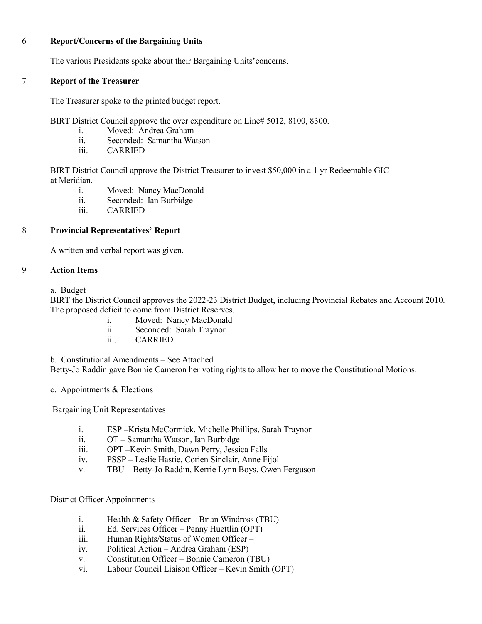#### 6 **Report/Concerns of the Bargaining Units**

The various Presidents spoke about their Bargaining Units'concerns.

#### 7 **Report of the Treasurer**

The Treasurer spoke to the printed budget report.

BIRT District Council approve the over expenditure on Line# 5012, 8100, 8300.

- i. Moved: Andrea Graham
- ii. Seconded: Samantha Watson
- iii. CARRIED

BIRT District Council approve the District Treasurer to invest \$50,000 in a 1 yr Redeemable GIC at Meridian.

- i. Moved: Nancy MacDonald
- ii. Seconded: Ian Burbidge
- iii. CARRIED

## 8 **Provincial Representatives' Report**

A written and verbal report was given.

#### 9 **Action Items**

a. Budget

BIRT the District Council approves the 2022-23 District Budget, including Provincial Rebates and Account 2010. The proposed deficit to come from District Reserves.

- i. Moved: Nancy MacDonald
- ii. Seconded: Sarah Traynor
- iii. CARRIED

b. Constitutional Amendments – See Attached

Betty-Jo Raddin gave Bonnie Cameron her voting rights to allow her to move the Constitutional Motions.

c. Appointments & Elections

Bargaining Unit Representatives

- i. ESP –Krista McCormick, Michelle Phillips, Sarah Traynor
- ii. OT Samantha Watson, Ian Burbidge
- iii. OPT –Kevin Smith, Dawn Perry, Jessica Falls
- iv. PSSP Leslie Hastie, Corien Sinclair, Anne Fijol
- v. TBU Betty-Jo Raddin, Kerrie Lynn Boys, Owen Ferguson

#### District Officer Appointments

- i. Health & Safety Officer Brian Windross (TBU)
- ii. Ed. Services Officer Penny Huettlin (OPT)
- iii. Human Rights/Status of Women Officer –
- iv. Political Action Andrea Graham (ESP)
- v. Constitution Officer Bonnie Cameron (TBU)
- vi. Labour Council Liaison Officer Kevin Smith (OPT)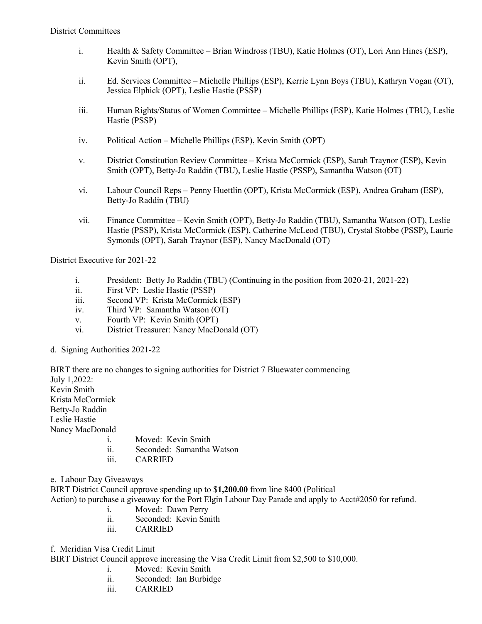- i. Health & Safety Committee Brian Windross (TBU), Katie Holmes (OT), Lori Ann Hines (ESP), Kevin Smith (OPT),
- ii. Ed. Services Committee Michelle Phillips (ESP), Kerrie Lynn Boys (TBU), Kathryn Vogan (OT), Jessica Elphick (OPT), Leslie Hastie (PSSP)
- iii. Human Rights/Status of Women Committee Michelle Phillips (ESP), Katie Holmes (TBU), Leslie Hastie (PSSP)
- iv. Political Action Michelle Phillips (ESP), Kevin Smith (OPT)
- v. District Constitution Review Committee Krista McCormick (ESP), Sarah Traynor (ESP), Kevin Smith (OPT), Betty-Jo Raddin (TBU), Leslie Hastie (PSSP), Samantha Watson (OT)
- vi. Labour Council Reps Penny Huettlin (OPT), Krista McCormick (ESP), Andrea Graham (ESP), Betty-Jo Raddin (TBU)
- vii. Finance Committee Kevin Smith (OPT), Betty-Jo Raddin (TBU), Samantha Watson (OT), Leslie Hastie (PSSP), Krista McCormick (ESP), Catherine McLeod (TBU), Crystal Stobbe (PSSP), Laurie Symonds (OPT), Sarah Traynor (ESP), Nancy MacDonald (OT)

District Executive for 2021-22

- i. President: Betty Jo Raddin (TBU) (Continuing in the position from 2020-21, 2021-22)
- ii. First VP: Leslie Hastie (PSSP)
- iii. Second VP: Krista McCormick (ESP)
- iv. Third VP: Samantha Watson (OT)
- v. Fourth VP: Kevin Smith (OPT)
- vi. District Treasurer: Nancy MacDonald (OT)
- d. Signing Authorities 2021-22

BIRT there are no changes to signing authorities for District 7 Bluewater commencing July 1,2022: Kevin Smith Krista McCormick Betty-Jo Raddin Leslie Hastie Nancy MacDonald

- i. Moved: Kevin Smith
- ii. Seconded: Samantha Watson
- iii. CARRIED

e. Labour Day Giveaways

BIRT District Council approve spending up to \$**1,200.00** from line 8400 (Political

Action) to purchase a giveaway for the Port Elgin Labour Day Parade and apply to Acct#2050 for refund.

- i. Moved: Dawn Perry
- ii. Seconded: Kevin Smith
- iii. CARRIED

f. Meridian Visa Credit Limit

BIRT District Council approve increasing the Visa Credit Limit from \$2,500 to \$10,000.

- i. Moved: Kevin Smith
- ii. Seconded: Ian Burbidge
- iii. CARRIED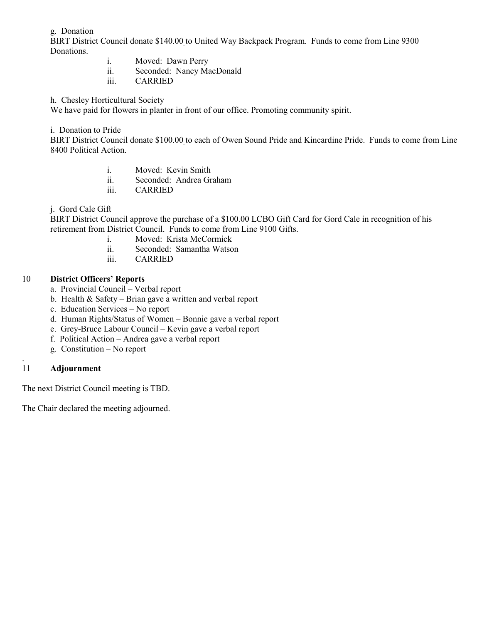g. Donation

BIRT District Council donate \$140.00 to United Way Backpack Program. Funds to come from Line 9300 Donations.

- i. Moved: Dawn Perry
- ii. Seconded: Nancy MacDonald
- iii. CARRIED

h. Chesley Horticultural Society

We have paid for flowers in planter in front of our office. Promoting community spirit.

i. Donation to Pride

BIRT District Council donate \$100.00 to each of Owen Sound Pride and Kincardine Pride. Funds to come from Line 8400 Political Action.

- i. Moved: Kevin Smith
- ii. Seconded: Andrea Graham
- iii. CARRIED

j. Gord Cale Gift

BIRT District Council approve the purchase of a \$100.00 LCBO Gift Card for Gord Cale in recognition of his retirement from District Council. Funds to come from Line 9100 Gifts.

- i. Moved: Krista McCormick
- ii. Seconded: Samantha Watson
- iii. CARRIED

## 10 **District Officers' Reports**

- a. Provincial Council Verbal report
- b. Health & Safety Brian gave a written and verbal report
- c. Education Services No report
- d. Human Rights/Status of Women Bonnie gave a verbal report
- e. Grey-Bruce Labour Council Kevin gave a verbal report
- f. Political Action Andrea gave a verbal report
- g. Constitution No report

#### . 11 **Adjournment**

The next District Council meeting is TBD.

The Chair declared the meeting adjourned.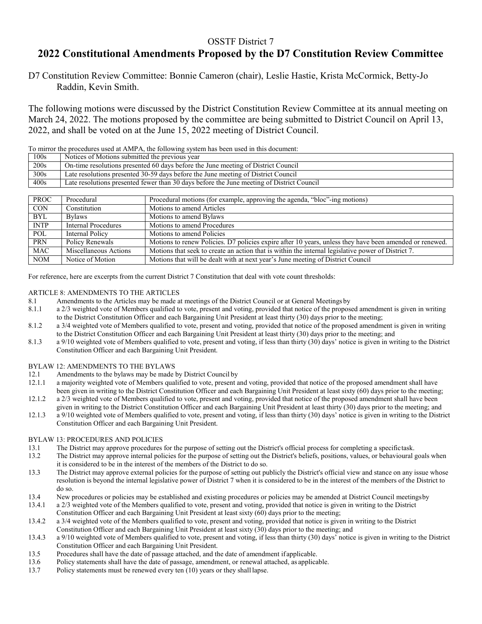## OSSTF District 7 **2022 Constitutional Amendments Proposed by the D7 Constitution Review Committee**

D7 Constitution Review Committee: Bonnie Cameron (chair), Leslie Hastie, Krista McCormick, Betty-Jo Raddin, Kevin Smith.

The following motions were discussed by the District Constitution Review Committee at its annual meeting on March 24, 2022. The motions proposed by the committee are being submitted to District Council on April 13, 2022, and shall be voted on at the June 15, 2022 meeting of District Council.

To mirror the procedures used at AMPA, the following system has been used in this document: 100s Notices of Motions submitted the previous year 200s On-time resolutions presented 60 days before the June meeting of District Council 300s Late resolutions presented 30-59 days before the June meeting of District Council 400s Late resolutions presented fewer than 30 days before the June meeting of District Council

| <b>PROC</b> | Procedural                 | Procedural motions (for example, approving the agenda, "bloc"-ing motions)                              |
|-------------|----------------------------|---------------------------------------------------------------------------------------------------------|
| <b>CON</b>  | Constitution               | Motions to amend Articles                                                                               |
| <b>BYL</b>  | <b>Bylaws</b>              | Motions to amend Bylaws                                                                                 |
| <b>INTP</b> | <b>Internal Procedures</b> | Motions to amend Procedures                                                                             |
| POL         | Internal Policy            | Motions to amend Policies                                                                               |
| <b>PRN</b>  | Policy Renewals            | Motions to renew Policies. D7 policies expire after 10 years, unless they have been amended or renewed. |
| <b>MAC</b>  | Miscellaneous Actions      | Motions that seek to create an action that is within the internal legislative power of District 7.      |
| <b>NOM</b>  | Notice of Motion           | Motions that will be dealt with at next year's June meeting of District Council                         |

For reference, here are excerpts from the current District 7 Constitution that deal with vote count thresholds:

# ARTICLE 8: AMENDMENTS TO THE ARTICLES<br>8.1 Amendments to the Articles may be made a

- 
- 8.1 Amendments to the Articles may be made at meetings of the District Council or at General Meetings by 8.1.1 a 2/3 weighted vote of Members qualified to vote, present and voting, provided that notice of the propose a 2/3 weighted vote of Members qualified to vote, present and voting, provided that notice of the proposed amendment is given in writing to the District Constitution Officer and each Bargaining Unit President at least thirty (30) days prior to the meeting;
- 8.1.2 a 3/4 weighted vote of Members qualified to vote, present and voting, provided that notice of the proposed amendment is given in writing to the District Constitution Officer and each Bargaining Unit President at least thirty (30) days prior to the meeting; and
- 8.1.3 a 9/10 weighted vote of Members qualified to vote, present and voting, if less than thirty (30) days' notice is given in writing to the District Constitution Officer and each Bargaining Unit President.

#### BYLAW 12: AMENDMENTS TO THE BYLAWS

- 12.1 Amendments to the bylaws may be made by District Council by<br>12.1.1 a majority weighted vote of Members qualified to vote, present a
- a majority weighted vote of Members qualified to vote, present and voting, provided that notice of the proposed amendment shall have been given in writing to the District Constitution Officer and each Bargaining Unit President at least sixty (60) days prior to the meeting;
- 12.1.2 a 2/3 weighted vote of Members qualified to vote, present and voting, provided that notice of the proposed amendment shall have been given in writing to the District Constitution Officer and each Bargaining Unit President at least thirty (30) days prior to the meeting; and
- 12.1.3 a 9/10 weighted vote of Members qualified to vote, present and voting, if less than thirty (30) days' notice is given in writing to the District Constitution Officer and each Bargaining Unit President.

#### BYLAW 13: PROCEDURES AND POLICIES

- 13.1 The District may approve procedures for the purpose of setting out the District's official process for completing a specifictask.
- 13.2 The District may approve internal policies for the purpose of setting out the District's beliefs, positions, values, or behavioural goals when it is considered to be in the interest of the members of the District to do so.
- 13.3 The District may approve external policies for the purpose of setting out publicly the District's official view and stance on any issue whose resolution is beyond the internal legislative power of District 7 when it is considered to be in the interest of the members of the District to do so.
- 13.4 New procedures or policies may be established and existing procedures or policies may be amended at District Council meetingsby
- 13.4.1 a 2/3 weighted vote of the Members qualified to vote, present and voting, provided that notice is given in writing to the District Constitution Officer and each Bargaining Unit President at least sixty (60) days prior to the meeting;
- 13.4.2 a 3/4 weighted vote of the Members qualified to vote, present and voting, provided that notice is given in writing to the District Constitution Officer and each Bargaining Unit President at least sixty (30) days prior to the meeting; and
- 13.4.3 a 9/10 weighted vote of Members qualified to vote, present and voting, if less than thirty (30) days' notice is given in writing to the District Constitution Officer and each Bargaining Unit President.
- 13.5 Procedures shall have the date of passage attached, and the date of amendment if applicable.
- 13.6 Policy statements shall have the date of passage, amendment, or renewal attached, as applicable.
- 13.7 Policy statements must be renewed every ten (10) years or they shall lapse.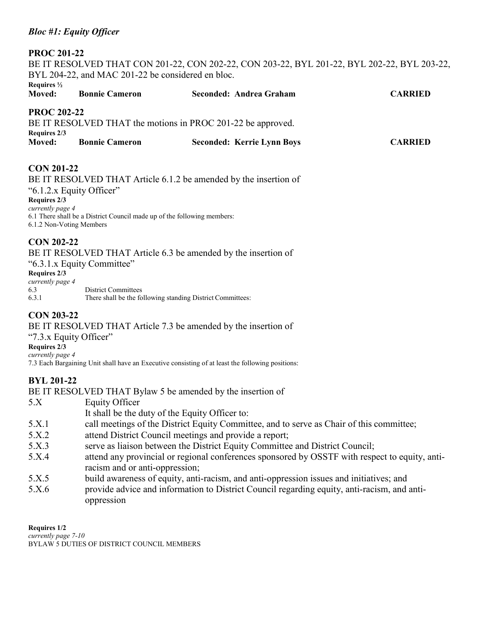## *Bloc #1: Equity Officer*

#### **PROC 201-22**

BE IT RESOLVED THAT CON 201-22, CON 202-22, CON 203-22, BYL 201-22, BYL 202-22, BYL 203-22, BYL 204-22, and MAC 201-22 be considered en bloc. **Requires ½ Moved: Bonnie Cameron Seconded: Andrea Graham CARRIED**

## **PROC 202-22**

BE IT RESOLVED THAT the motions in PROC 201-22 be approved. **Requires 2/3 Moved: Bonnie Cameron Seconded: Kerrie Lynn Boys CARRIED**

## **CON 201-22**

BE IT RESOLVED THAT Article 6.1.2 be amended by the insertion of "6.1.2.x Equity Officer" **Requires 2/3** *currently page 4* 6.1 There shall be a District Council made up of the following members: 6.1.2 Non-Voting Members

## **CON 202-22**

BE IT RESOLVED THAT Article 6.3 be amended by the insertion of "6.3.1.x Equity Committee"

#### **Requires 2/3**

| currently page 4 |                                                            |
|------------------|------------------------------------------------------------|
| 6.3              | District Committees                                        |
| 6.3.1            | There shall be the following standing District Committees: |

## **CON 203-22**

BE IT RESOLVED THAT Article 7.3 be amended by the insertion of

"7.3.x Equity Officer"

**Requires 2/3** *currently page 4*

7.3 Each Bargaining Unit shall have an Executive consisting of at least the following positions:

## **BYL 201-22**

BE IT RESOLVED THAT Bylaw 5 be amended by the insertion of

- 5.X Equity Officer It shall be the duty of the Equity Officer to: 5.X.1 call meetings of the District Equity Committee, and to serve as Chair of this committee; 5.X.2 attend District Council meetings and provide a report; 5.X.3 serve as liaison between the District Equity Committee and District Council; 5.X.4 attend any provincial or regional conferences sponsored by OSSTF with respect to equity, anti
	- racism and or anti-oppression;
	- 5.X.5 build awareness of equity, anti-racism, and anti-oppression issues and initiatives; and
	- 5.X.6 provide advice and information to District Council regarding equity, anti-racism, and antioppression

**Requires 1/2** *currently page 7-10* BYLAW 5 DUTIES OF DISTRICT COUNCIL MEMBERS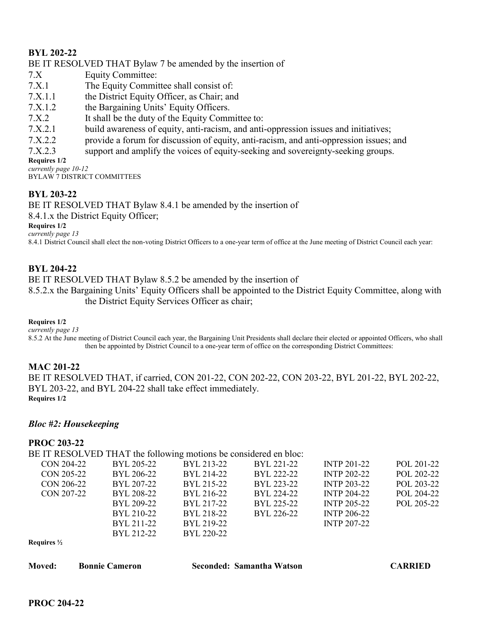## **BYL 202-22**

BE IT RESOLVED THAT Bylaw 7 be amended by the insertion of

- 7.X Equity Committee:
- 7.X.1 The Equity Committee shall consist of:
- 7.X.1.1 the District Equity Officer, as Chair; and
- 7.X.1.2 the Bargaining Units' Equity Officers.
- 7.X.2 It shall be the duty of the Equity Committee to:
- 7.X.2.1 build awareness of equity, anti-racism, and anti-oppression issues and initiatives;
- 7.X.2.2 provide a forum for discussion of equity, anti-racism, and anti-oppression issues; and
- 7.X.2.3 support and amplify the voices of equity-seeking and sovereignty-seeking groups.

**Requires 1/2** *currently page 10-12*

BYLAW 7 DISTRICT COMMITTEES

## **BYL 203-22**

BE IT RESOLVED THAT Bylaw 8.4.1 be amended by the insertion of

8.4.1.x the District Equity Officer;

**Requires 1/2**

*currently page 13*

8.4.1 District Council shall elect the non-voting District Officers to a one-year term of office at the June meeting of District Council each year:

## **BYL 204-22**

BE IT RESOLVED THAT Bylaw 8.5.2 be amended by the insertion of 8.5.2.x the Bargaining Units' Equity Officers shall be appointed to the District Equity Committee, along with the District Equity Services Officer as chair;

**Requires 1/2**

*currently page 13*

8.5.2 At the June meeting of District Council each year, the Bargaining Unit Presidents shall declare their elected or appointed Officers, who shall then be appointed by District Council to a one-year term of office on the corresponding District Committees:

## **MAC 201-22**

BE IT RESOLVED THAT, if carried, CON 201-22, CON 202-22, CON 203-22, BYL 201-22, BYL 202-22, BYL 203-22, and BYL 204-22 shall take effect immediately. **Requires 1/2**

#### *Bloc #2: Housekeeping*

#### **PROC 203-22**

BE IT RESOLVED THAT the following motions be considered en bloc:

| CON 204-22             | BYL 205-22 | BYL 213-22 | BYL 221-22 | <b>INTP 201-22</b> | POL 201-22 |
|------------------------|------------|------------|------------|--------------------|------------|
| CON 205-22             | BYL 206-22 | BYL 214-22 | BYL 222-22 | <b>INTP 202-22</b> | POL 202-22 |
| CON 206-22             | BYL 207-22 | BYL 215-22 | BYL 223-22 | <b>INTP 203-22</b> | POL 203-22 |
| CON 207-22             | BYL 208-22 | BYL 216-22 | BYL 224-22 | <b>INTP 204-22</b> | POL 204-22 |
|                        | BYL 209-22 | BYL 217-22 | BYL 225-22 | <b>INTP 205-22</b> | POL 205-22 |
|                        | BYL 210-22 | BYL 218-22 | BYL 226-22 | <b>INTP 206-22</b> |            |
|                        | BYL 211-22 | BYL 219-22 |            | <b>INTP 207-22</b> |            |
|                        | BYL 212-22 | BYL 220-22 |            |                    |            |
| Requires $\frac{1}{2}$ |            |            |            |                    |            |

| <b>Moved:</b> | <b>Bonnie Cameron</b> | Seconded: Samantha Watson | <b>CARRIED</b> |
|---------------|-----------------------|---------------------------|----------------|
|               |                       |                           |                |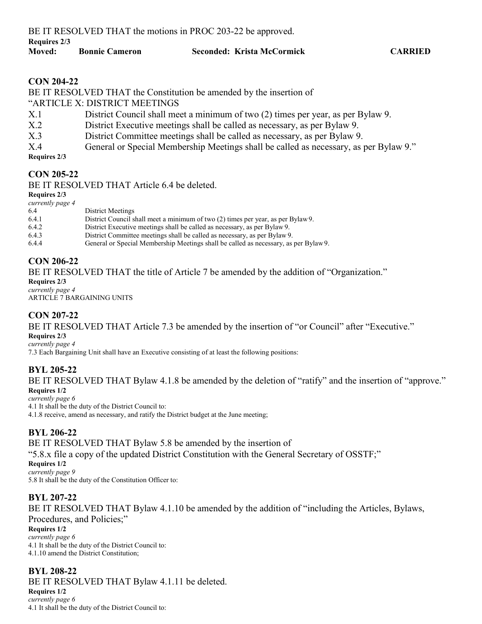**Requires 2/3**

#### **Moved: Bonnie Cameron Seconded: Krista McCormick CARRIED**

## **CON 204-22**

BE IT RESOLVED THAT the Constitution be amended by the insertion of "ARTICLE X: DISTRICT MEETINGS X.1 District Council shall meet a minimum of two (2) times per year, as per Bylaw 9. X.2 District Executive meetings shall be called as necessary, as per Bylaw 9. X.3 District Committee meetings shall be called as necessary, as per Bylaw 9. X.4 General or Special Membership Meetings shall be called as necessary, as per Bylaw 9."

**Requires 2/3**

## **CON 205-22**

BE IT RESOLVED THAT Article 6.4 be deleted.

**Requires 2/3**

| currently page 4 |                                                                                      |
|------------------|--------------------------------------------------------------------------------------|
| 6.4              | District Meetings                                                                    |
| 6.4.1            | District Council shall meet a minimum of two (2) times per year, as per Bylaw 9.     |
| 6.4.2            | District Executive meetings shall be called as necessary, as per Bylaw 9.            |
| 6.4.3            | District Committee meetings shall be called as necessary, as per Bylaw 9.            |
| 6.4.4            | General or Special Membership Meetings shall be called as necessary, as per Bylaw 9. |

## **CON 206-22**

BE IT RESOLVED THAT the title of Article 7 be amended by the addition of "Organization."

**Requires 2/3** *currently page 4* ARTICLE 7 BARGAINING UNITS

## **CON 207-22**

BE IT RESOLVED THAT Article 7.3 be amended by the insertion of "or Council" after "Executive." **Requires 2/3**

*currently page 4*

7.3 Each Bargaining Unit shall have an Executive consisting of at least the following positions:

## **BYL 205-22**

BE IT RESOLVED THAT Bylaw 4.1.8 be amended by the deletion of "ratify" and the insertion of "approve." **Requires 1/2**

*currently page 6* 4.1 It shall be the duty of the District Council to: 4.1.8 receive, amend as necessary, and ratify the District budget at the June meeting;

## **BYL 206-22**

BE IT RESOLVED THAT Bylaw 5.8 be amended by the insertion of

"5.8.x file a copy of the updated District Constitution with the General Secretary of OSSTF;"

**Requires 1/2** *currently page 9* 5.8 It shall be the duty of the Constitution Officer to:

## **BYL 207-22**

BE IT RESOLVED THAT Bylaw 4.1.10 be amended by the addition of "including the Articles, Bylaws, Procedures, and Policies;"

**Requires 1/2**

*currently page 6* 4.1 It shall be the duty of the District Council to: 4.1.10 amend the District Constitution;

## **BYL 208-22**

BE IT RESOLVED THAT Bylaw 4.1.11 be deleted.

**Requires 1/2** *currently page 6* 4.1 It shall be the duty of the District Council to: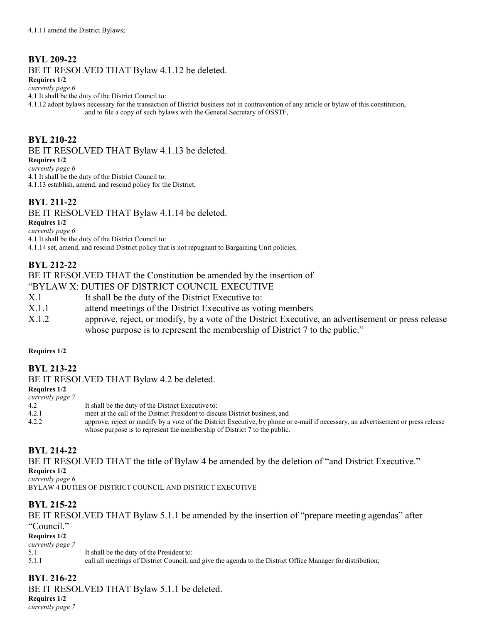## **BYL 209-22**

BE IT RESOLVED THAT Bylaw 4.1.12 be deleted.

**Requires 1/2**

*currently page 6*

4.1 It shall be the duty of the District Council to:

4.1.12 adopt bylaws necessary for the transaction of District business not in contravention of any article or bylaw of this constitution, and to file a copy of such bylaws with the General Secretary of OSSTF,

## **BYL 210-22**

BE IT RESOLVED THAT Bylaw 4.1.13 be deleted.

**Requires 1/2**

*currently page 6*

4.1 It shall be the duty of the District Council to:

4.1.13 establish, amend, and rescind policy for the District,

## **BYL 211-22**

BE IT RESOLVED THAT Bylaw 4.1.14 be deleted.

**Requires 1/2**

*currently page 6* 4.1 It shall be the duty of the District Council to: 4.1.14 set, amend, and rescind District policy that is not repugnant to Bargaining Unit policies,

## **BYL 212-22**

## BE IT RESOLVED THAT the Constitution be amended by the insertion of

"BYLAW X: DUTIES OF DISTRICT COUNCIL EXECUTIVE

- X.1 It shall be the duty of the District Executive to:
- X.1.1 attend meetings of the District Executive as voting members
- X.1.2 approve, reject, or modify, by a vote of the District Executive, an advertisement or press release whose purpose is to represent the membership of District 7 to the public."

#### **Requires 1/2**

## **BYL 213-22**

BE IT RESOLVED THAT Bylaw 4.2 be deleted.

**Requires 1/2**

| currently page 7 |                                                                                                                                   |
|------------------|-----------------------------------------------------------------------------------------------------------------------------------|
| 4.2              | It shall be the duty of the District Executive to:                                                                                |
| 4.2.1            | meet at the call of the District President to discuss District business, and                                                      |
| 4.2.2            | approve, reject or modify by a vote of the District Executive, by phone or e-mail if necessary, an advertisement or press release |
|                  | whose purpose is to represent the membership of District 7 to the public.                                                         |

## **BYL 214-22**

BE IT RESOLVED THAT the title of Bylaw 4 be amended by the deletion of "and District Executive." **Requires 1/2**

*currently page 6*

BYLAW 4 DUTIES OF DISTRICT COUNCIL AND DISTRICT EXECUTIVE

## **BYL 215-22**

BE IT RESOLVED THAT Bylaw 5.1.1 be amended by the insertion of "prepare meeting agendas" after "Council." **Requires 1/2** *currently page 7* 5.1 It shall be the duty of the President to: 5.1.1 call all meetings of District Council, and give the agenda to the District Office Manager for distribution;

## **BYL 216-22**

BE IT RESOLVED THAT Bylaw 5.1.1 be deleted.

**Requires 1/2** *currently page 7*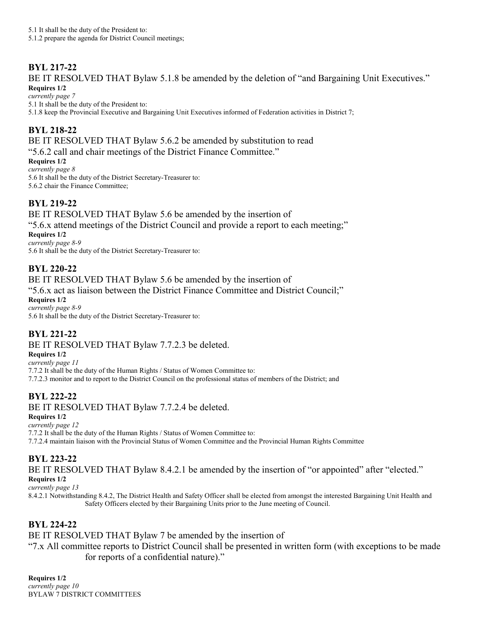## **BYL 217-22**

BE IT RESOLVED THAT Bylaw 5.1.8 be amended by the deletion of "and Bargaining Unit Executives." **Requires 1/2**

*currently page 7* 5.1 It shall be the duty of the President to: 5.1.8 keep the Provincial Executive and Bargaining Unit Executives informed of Federation activities in District 7;

## **BYL 218-22**

BE IT RESOLVED THAT Bylaw 5.6.2 be amended by substitution to read "5.6.2 call and chair meetings of the District Finance Committee."

**Requires 1/2** *currently page 8* 5.6 It shall be the duty of the District Secretary-Treasurer to: 5.6.2 chair the Finance Committee;

## **BYL 219-22**

BE IT RESOLVED THAT Bylaw 5.6 be amended by the insertion of "5.6.x attend meetings of the District Council and provide a report to each meeting;" **Requires 1/2** *currently page 8-9*

5.6 It shall be the duty of the District Secretary-Treasurer to:

## **BYL 220-22**

BE IT RESOLVED THAT Bylaw 5.6 be amended by the insertion of "5.6.x act as liaison between the District Finance Committee and District Council;" **Requires 1/2** *currently page 8-9* 5.6 It shall be the duty of the District Secretary-Treasurer to:

## **BYL 221-22**

BE IT RESOLVED THAT Bylaw 7.7.2.3 be deleted.

**Requires 1/2**

*currently page 11* 7.7.2 It shall be the duty of the Human Rights / Status of Women Committee to: 7.7.2.3 monitor and to report to the District Council on the professional status of members of the District; and

## **BYL 222-22**

BE IT RESOLVED THAT Bylaw 7.7.2.4 be deleted.

**Requires 1/2**

*currently page 12*

7.7.2 It shall be the duty of the Human Rights / Status of Women Committee to:

7.7.2.4 maintain liaison with the Provincial Status of Women Committee and the Provincial Human Rights Committee

## **BYL 223-22**

BE IT RESOLVED THAT Bylaw 8.4.2.1 be amended by the insertion of "or appointed" after "elected." **Requires 1/2**

*currently page 13*

8.4.2.1 Notwithstanding 8.4.2, The District Health and Safety Officer shall be elected from amongst the interested Bargaining Unit Health and Safety Officers elected by their Bargaining Units prior to the June meeting of Council.

## **BYL 224-22**

BE IT RESOLVED THAT Bylaw 7 be amended by the insertion of

"7.x All committee reports to District Council shall be presented in written form (with exceptions to be made for reports of a confidential nature)."

**Requires 1/2** *currently page 10* BYLAW 7 DISTRICT COMMITTEES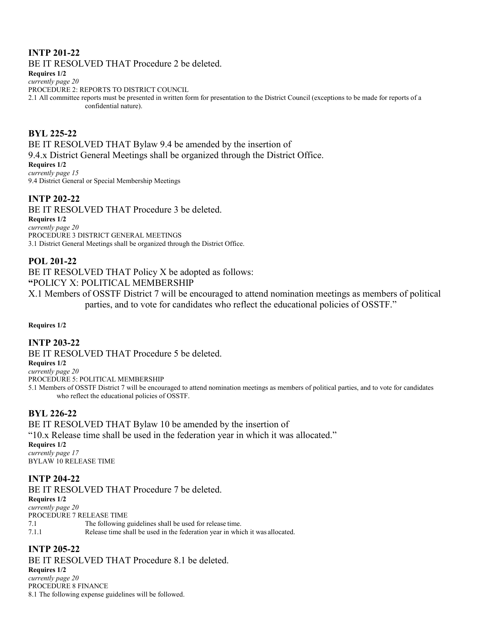## **INTP 201-22**

BE IT RESOLVED THAT Procedure 2 be deleted.

**Requires 1/2**

*currently page 20* PROCEDURE 2: REPORTS TO DISTRICT COUNCIL

2.1 All committee reports must be presented in written form for presentation to the District Council (exceptions to be made for reports of a confidential nature).

**BYL 225-22** BE IT RESOLVED THAT Bylaw 9.4 be amended by the insertion of 9.4.x District General Meetings shall be organized through the District Office. **Requires 1/2** *currently page 15* 9.4 District General or Special Membership Meetings

## **INTP 202-22**

BE IT RESOLVED THAT Procedure 3 be deleted. **Requires 1/2** *currently page 20* PROCEDURE 3 DISTRICT GENERAL MEETINGS 3.1 District General Meetings shall be organized through the District Office.

## **POL 201-22**

BE IT RESOLVED THAT Policy X be adopted as follows: **"**POLICY X: POLITICAL MEMBERSHIP

X.1 Members of OSSTF District 7 will be encouraged to attend nomination meetings as members of political parties, and to vote for candidates who reflect the educational policies of OSSTF."

**Requires 1/2**

## **INTP 203-22**

BE IT RESOLVED THAT Procedure 5 be deleted.

**Requires 1/2**

*currently page 20* PROCEDURE 5: POLITICAL MEMBERSHIP

5.1 Members of OSSTF District 7 will be encouraged to attend nomination meetings as members of political parties, and to vote for candidates who reflect the educational policies of OSSTF.

## **BYL 226-22**

BE IT RESOLVED THAT Bylaw 10 be amended by the insertion of "10.x Release time shall be used in the federation year in which it was allocated." **Requires 1/2** *currently page 17* BYLAW 10 RELEASE TIME

## **INTP 204-22**

BE IT RESOLVED THAT Procedure 7 be deleted. **Requires 1/2** *currently page 20* PROCEDURE 7 RELEASE TIME 7.1 The following guidelines shall be used for release time. 7.1.1 Release time shall be used in the federation year in which it was allocated.

## **INTP 205-22**

BE IT RESOLVED THAT Procedure 8.1 be deleted. **Requires 1/2** *currently page 20* PROCEDURE 8 FINANCE 8.1 The following expense guidelines will be followed.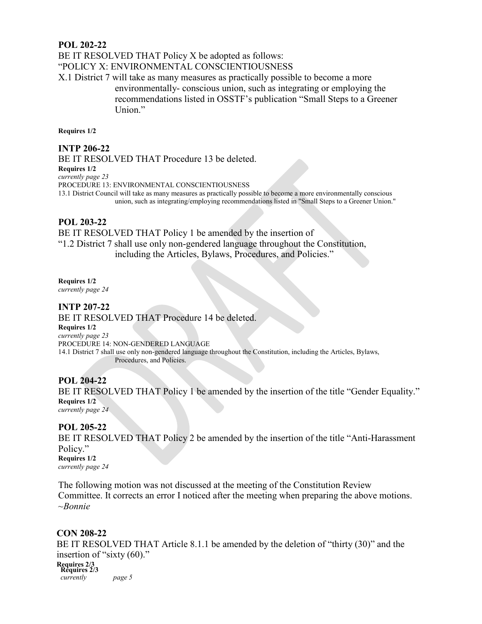#### **POL 202-22**

BE IT RESOLVED THAT Policy X be adopted as follows:

"POLICY X: ENVIRONMENTAL CONSCIENTIOUSNESS

X.1 District 7 will take as many measures as practically possible to become a more environmentally- conscious union, such as integrating or employing the recommendations listed in OSSTF's publication "Small Steps to a Greener Union."

**Requires 1/2**

#### **INTP 206-22**

BE IT RESOLVED THAT Procedure 13 be deleted. **Requires 1/2** *currently page 23* PROCEDURE 13: ENVIRONMENTAL CONSCIENTIOUSNESS 13.1 District Council will take as many measures as practically possible to become a more environmentally conscious union, such as integrating/employing recommendations listed in "Small Steps to a Greener Union."

## **POL 203-22**

BE IT RESOLVED THAT Policy 1 be amended by the insertion of "1.2 District 7 shall use only non-gendered language throughout the Constitution, including the Articles, Bylaws, Procedures, and Policies."

**Requires 1/2**

*currently page 24*

#### **INTP 207-22**

BE IT RESOLVED THAT Procedure 14 be deleted. **Requires 1/2** *currently page 23* PROCEDURE 14: NON-GENDERED LANGUAGE 14.1 District 7 shall use only non-gendered language throughout the Constitution, including the Articles, Bylaws, Procedures, and Policies.

#### **POL 204-22**

BE IT RESOLVED THAT Policy 1 be amended by the insertion of the title "Gender Equality." **Requires 1/2** *currently page 24*

#### **POL 205-22**

BE IT RESOLVED THAT Policy 2 be amended by the insertion of the title "Anti-Harassment" Policy." **Requires 1/2**

*currently page 24*

The following motion was not discussed at the meeting of the Constitution Review Committee. It corrects an error I noticed after the meeting when preparing the above motions. *~Bonnie*

#### **CON 208-22**

BE IT RESOLVED THAT Article 8.1.1 be amended by the deletion of "thirty (30)" and the insertion of "sixty (60)." **Requires 2/3 Requires 2/3** *currently page 5*